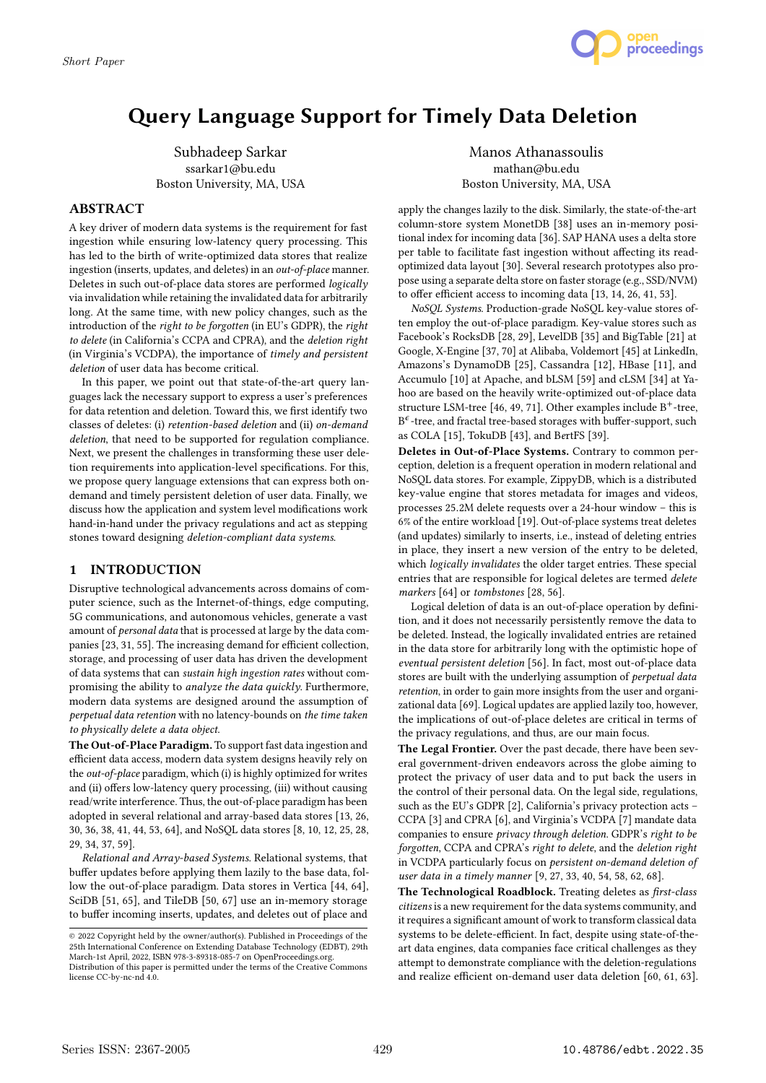

# Query Language Support for Timely Data Deletion

Subhadeep Sarkar ssarkar1@bu.edu Boston University, MA, USA

#### ABSTRACT

A key driver of modern data systems is the requirement for fast ingestion while ensuring low-latency query processing. This has led to the birth of write-optimized data stores that realize ingestion (inserts, updates, and deletes) in an out-of-place manner. Deletes in such out-of-place data stores are performed logically via invalidation while retaining the invalidated data for arbitrarily long. At the same time, with new policy changes, such as the introduction of the right to be forgotten (in EU's GDPR), the right to delete (in California's CCPA and CPRA), and the deletion right (in Virginia's VCDPA), the importance of timely and persistent deletion of user data has become critical.

In this paper, we point out that state-of-the-art query languages lack the necessary support to express a user's preferences for data retention and deletion. Toward this, we first identify two classes of deletes: (i) retention-based deletion and (ii) on-demand deletion, that need to be supported for regulation compliance. Next, we present the challenges in transforming these user deletion requirements into application-level specifications. For this, we propose query language extensions that can express both ondemand and timely persistent deletion of user data. Finally, we discuss how the application and system level modifications work hand-in-hand under the privacy regulations and act as stepping stones toward designing deletion-compliant data systems.

## 1 INTRODUCTION

Disruptive technological advancements across domains of computer science, such as the Internet-of-things, edge computing, 5G communications, and autonomous vehicles, generate a vast amount of personal data that is processed at large by the data companies [23, 31, 55]. The increasing demand for efficient collection, storage, and processing of user data has driven the development of data systems that can sustain high ingestion rates without compromising the ability to analyze the data quickly. Furthermore, modern data systems are designed around the assumption of perpetual data retention with no latency-bounds on the time taken to physically delete a data object.

The Out-of-Place Paradigm. To support fast data ingestion and efficient data access, modern data system designs heavily rely on the out-of-place paradigm, which (i) is highly optimized for writes and (ii) offers low-latency query processing, (iii) without causing read/write interference. Thus, the out-of-place paradigm has been adopted in several relational and array-based data stores [13, 26, 30, 36, 38, 41, 44, 53, 64], and NoSQL data stores [8, 10, 12, 25, 28, 29, 34, 37, 59].

Relational and Array-based Systems. Relational systems, that buffer updates before applying them lazily to the base data, follow the out-of-place paradigm. Data stores in Vertica [44, 64], SciDB [51, 65], and TileDB [50, 67] use an in-memory storage to buffer incoming inserts, updates, and deletes out of place and

Manos Athanassoulis mathan@bu.edu Boston University, MA, USA

apply the changes lazily to the disk. Similarly, the state-of-the-art column-store system MonetDB [38] uses an in-memory positional index for incoming data [36]. SAP HANA uses a delta store per table to facilitate fast ingestion without affecting its readoptimized data layout [30]. Several research prototypes also propose using a separate delta store on faster storage (e.g., SSD/NVM) to offer efficient access to incoming data [13, 14, 26, 41, 53].

NoSQL Systems. Production-grade NoSQL key-value stores often employ the out-of-place paradigm. Key-value stores such as Facebook's RocksDB [28, 29], LevelDB [35] and BigTable [21] at Google, X-Engine [37, 70] at Alibaba, Voldemort [45] at LinkedIn, Amazons's DynamoDB [25], Cassandra [12], HBase [11], and Accumulo [10] at Apache, and bLSM [59] and cLSM [34] at Yahoo are based on the heavily write-optimized out-of-place data structure LSM-tree [46, 49, 71]. Other examples include  $B^+$ -tree,  $B^{\epsilon}$ -tree, and fractal tree-based storages with buffer-support, such as COLA [15], TokuDB [43], and BertFS [39].

Deletes in Out-of-Place Systems. Contrary to common perception, deletion is a frequent operation in modern relational and NoSQL data stores. For example, ZippyDB, which is a distributed key-value engine that stores metadata for images and videos, processes 25.2M delete requests over a 24-hour window – this is 6% of the entire workload [19]. Out-of-place systems treat deletes (and updates) similarly to inserts, i.e., instead of deleting entries in place, they insert a new version of the entry to be deleted, which *logically invalidates* the older target entries. These special entries that are responsible for logical deletes are termed delete markers [64] or tombstones [28, 56].

Logical deletion of data is an out-of-place operation by definition, and it does not necessarily persistently remove the data to be deleted. Instead, the logically invalidated entries are retained in the data store for arbitrarily long with the optimistic hope of eventual persistent deletion [56]. In fact, most out-of-place data stores are built with the underlying assumption of perpetual data retention, in order to gain more insights from the user and organizational data [69]. Logical updates are applied lazily too, however, the implications of out-of-place deletes are critical in terms of the privacy regulations, and thus, are our main focus.

The Legal Frontier. Over the past decade, there have been several government-driven endeavors across the globe aiming to protect the privacy of user data and to put back the users in the control of their personal data. On the legal side, regulations, such as the EU's GDPR [2], California's privacy protection acts – CCPA [3] and CPRA [6], and Virginia's VCDPA [7] mandate data companies to ensure privacy through deletion. GDPR's right to be forgotten, CCPA and CPRA's right to delete, and the deletion right in VCDPA particularly focus on persistent on-demand deletion of user data in a timely manner [9, 27, 33, 40, 54, 58, 62, 68].

The Technological Roadblock. Treating deletes as first-class citizens is a new requirement for the data systems community, and it requires a significant amount of work to transform classical data systems to be delete-efficient. In fact, despite using state-of-theart data engines, data companies face critical challenges as they attempt to demonstrate compliance with the deletion-regulations and realize efficient on-demand user data deletion [60, 61, 63].

<sup>©</sup> 2022 Copyright held by the owner/author(s). Published in Proceedings of the 25th International Conference on Extending Database Technology (EDBT), 29th March-1st April, 2022, ISBN 978-3-89318-085-7 on OpenProceedings.org. Distribution of this paper is permitted under the terms of the Creative Commons license CC-by-nc-nd 4.0.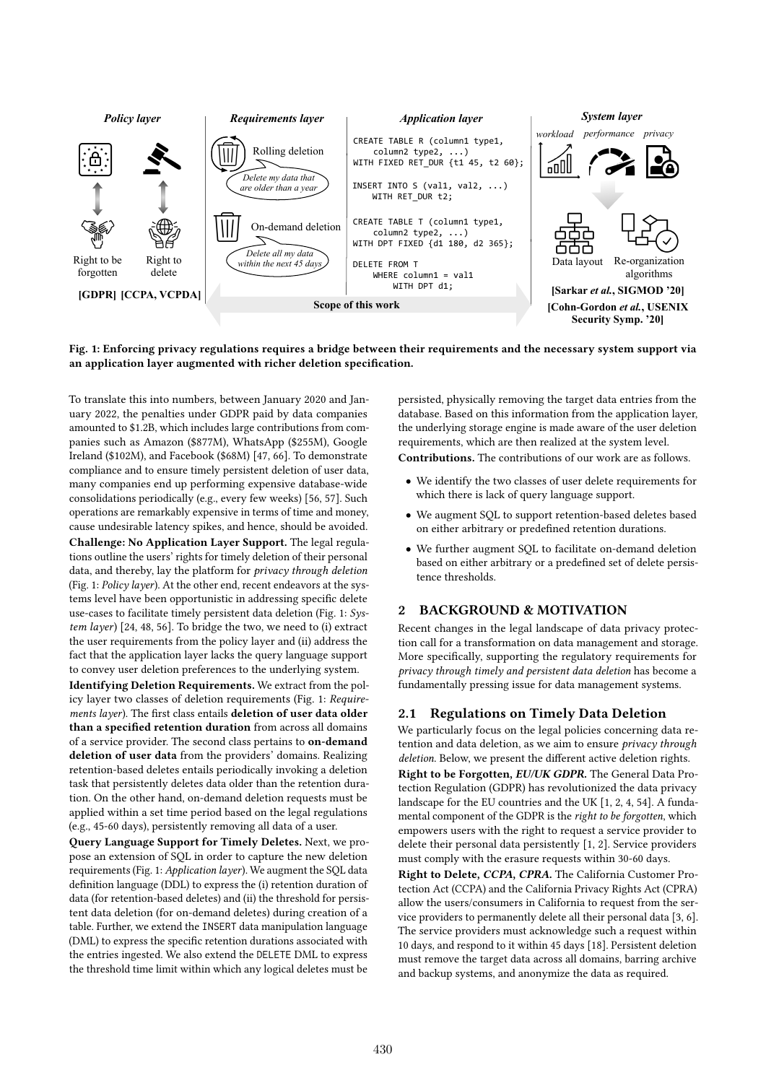

#### Fig. 1: Enforcing privacy regulations requires a bridge between their requirements and the necessary system support via an application layer augmented with richer deletion specification.

To translate this into numbers, between January 2020 and January 2022, the penalties under GDPR paid by data companies amounted to \$1.2B, which includes large contributions from companies such as Amazon (\$877M), WhatsApp (\$255M), Google Ireland (\$102M), and Facebook (\$68M) [47, 66]. To demonstrate compliance and to ensure timely persistent deletion of user data, many companies end up performing expensive database-wide consolidations periodically (e.g., every few weeks) [56, 57]. Such operations are remarkably expensive in terms of time and money, cause undesirable latency spikes, and hence, should be avoided. Challenge: No Application Layer Support. The legal regulations outline the users' rights for timely deletion of their personal data, and thereby, lay the platform for privacy through deletion (Fig. 1: Policy layer). At the other end, recent endeavors at the systems level have been opportunistic in addressing specific delete use-cases to facilitate timely persistent data deletion (Fig. 1:  $Sys$ tem layer) [24, 48, 56]. To bridge the two, we need to (i) extract the user requirements from the policy layer and (ii) address the fact that the application layer lacks the query language support to convey user deletion preferences to the underlying system.

Identifying Deletion Requirements. We extract from the policy layer two classes of deletion requirements (Fig. 1: Requirements layer). The first class entails deletion of user data older than a specified retention duration from across all domains of a service provider. The second class pertains to on-demand deletion of user data from the providers' domains. Realizing retention-based deletes entails periodically invoking a deletion task that persistently deletes data older than the retention duration. On the other hand, on-demand deletion requests must be applied within a set time period based on the legal regulations (e.g., 45-60 days), persistently removing all data of a user.

Query Language Support for Timely Deletes. Next, we propose an extension of SQL in order to capture the new deletion requirements (Fig. 1: Application layer). We augment the SQL data definition language (DDL) to express the (i) retention duration of data (for retention-based deletes) and (ii) the threshold for persistent data deletion (for on-demand deletes) during creation of a table. Further, we extend the INSERT data manipulation language (DML) to express the specific retention durations associated with the entries ingested. We also extend the DELETE DML to express the threshold time limit within which any logical deletes must be

persisted, physically removing the target data entries from the database. Based on this information from the application layer, the underlying storage engine is made aware of the user deletion requirements, which are then realized at the system level.

Contributions. The contributions of our work are as follows.

- We identify the two classes of user delete requirements for which there is lack of query language support.
- We augment SQL to support retention-based deletes based on either arbitrary or predefined retention durations.
- We further augment SQL to facilitate on-demand deletion based on either arbitrary or a predefined set of delete persistence thresholds.

## 2 BACKGROUND & MOTIVATION

Recent changes in the legal landscape of data privacy protection call for a transformation on data management and storage. More specifically, supporting the regulatory requirements for privacy through timely and persistent data deletion has become a fundamentally pressing issue for data management systems.

## 2.1 Regulations on Timely Data Deletion

We particularly focus on the legal policies concerning data retention and data deletion, as we aim to ensure privacy through deletion. Below, we present the different active deletion rights.

Right to be Forgotten, EU/UK GDPR. The General Data Protection Regulation (GDPR) has revolutionized the data privacy landscape for the EU countries and the UK [1, 2, 4, 54]. A fundamental component of the GDPR is the right to be forgotten, which empowers users with the right to request a service provider to delete their personal data persistently [1, 2]. Service providers must comply with the erasure requests within 30-60 days.

Right to Delete, CCPA, CPRA. The California Customer Protection Act (CCPA) and the California Privacy Rights Act (CPRA) allow the users/consumers in California to request from the service providers to permanently delete all their personal data [3, 6]. The service providers must acknowledge such a request within 10 days, and respond to it within 45 days [18]. Persistent deletion must remove the target data across all domains, barring archive and backup systems, and anonymize the data as required.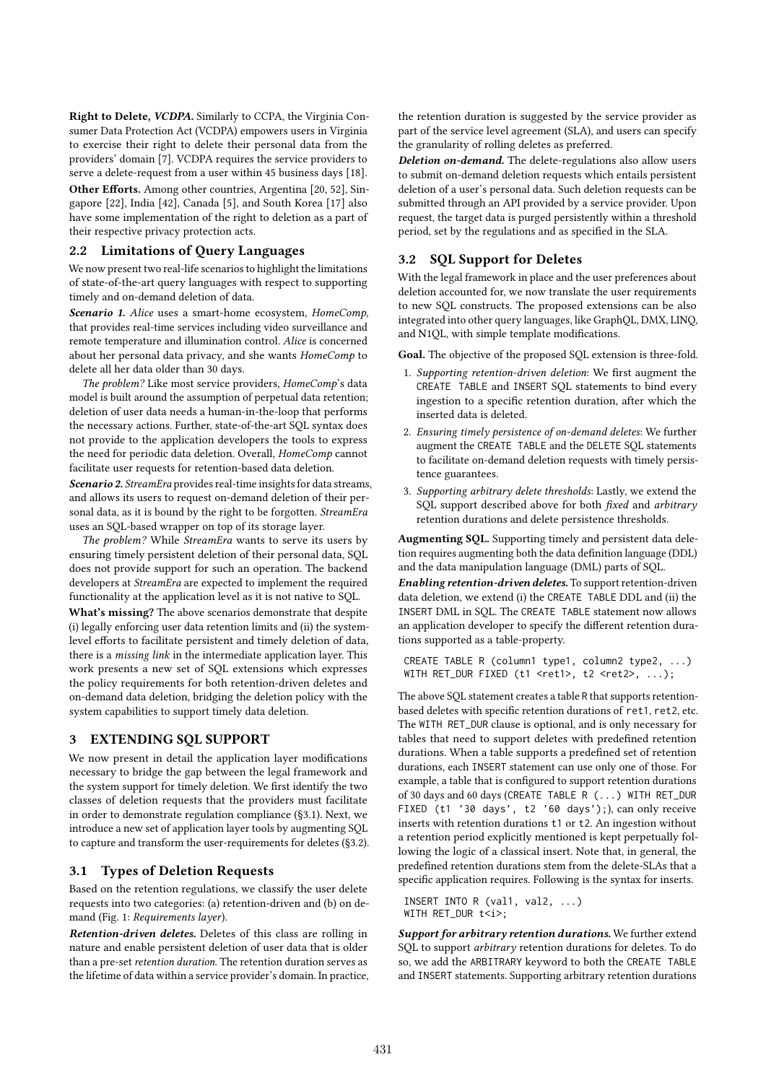Right to Delete, VCDPA. Similarly to CCPA, the Virginia Consumer Data Protection Act (VCDPA) empowers users in Virginia to exercise their right to delete their personal data from the providers' domain [7]. VCDPA requires the service providers to serve a delete-request from a user within 45 business days [18].

Other Efforts. Among other countries, Argentina [20, 52], Singapore [22], India [42], Canada [5], and South Korea [17] also have some implementation of the right to deletion as a part of their respective privacy protection acts.

## 2.2 Limitations of Query Languages

We now present two real-life scenarios to highlight the limitations of state-of-the-art query languages with respect to supporting timely and on-demand deletion of data.

Scenario 1. Alice uses a smart-home ecosystem, HomeComp, that provides real-time services including video surveillance and remote temperature and illumination control. Alice is concerned about her personal data privacy, and she wants HomeComp to delete all her data older than 30 days.

The problem? Like most service providers, HomeComp's data model is built around the assumption of perpetual data retention; deletion of user data needs a human-in-the-loop that performs the necessary actions. Further, state-of-the-art SQL syntax does not provide to the application developers the tools to express the need for periodic data deletion. Overall, HomeComp cannot facilitate user requests for retention-based data deletion.

Scenario 2. StreamEra provides real-time insights for data streams, and allows its users to request on-demand deletion of their personal data, as it is bound by the right to be forgotten. StreamEra uses an SQL-based wrapper on top of its storage layer.

The problem? While StreamEra wants to serve its users by ensuring timely persistent deletion of their personal data, SQL does not provide support for such an operation. The backend developers at StreamEra are expected to implement the required functionality at the application level as it is not native to SQL.

What's missing? The above scenarios demonstrate that despite (i) legally enforcing user data retention limits and (ii) the systemlevel efforts to facilitate persistent and timely deletion of data, there is a missing link in the intermediate application layer. This work presents a new set of SQL extensions which expresses the policy requirements for both retention-driven deletes and on-demand data deletion, bridging the deletion policy with the system capabilities to support timely data deletion.

## 3 EXTENDING SQL SUPPORT

We now present in detail the application layer modifications necessary to bridge the gap between the legal framework and the system support for timely deletion. We first identify the two classes of deletion requests that the providers must facilitate in order to demonstrate regulation compliance (§3.1). Next, we introduce a new set of application layer tools by augmenting SQL to capture and transform the user-requirements for deletes (§3.2).

#### 3.1 Types of Deletion Requests

Based on the retention regulations, we classify the user delete requests into two categories: (a) retention-driven and (b) on demand (Fig. 1: Requirements layer).

Retention-driven deletes. Deletes of this class are rolling in nature and enable persistent deletion of user data that is older than a pre-set retention duration. The retention duration serves as the lifetime of data within a service provider's domain. In practice, the retention duration is suggested by the service provider as part of the service level agreement (SLA), and users can specify the granularity of rolling deletes as preferred.

Deletion on-demand. The delete-regulations also allow users to submit on-demand deletion requests which entails persistent deletion of a user's personal data. Such deletion requests can be submitted through an API provided by a service provider. Upon request, the target data is purged persistently within a threshold period, set by the regulations and as specified in the SLA.

## 3.2 SQL Support for Deletes

With the legal framework in place and the user preferences about deletion accounted for, we now translate the user requirements to new SQL constructs. The proposed extensions can be also integrated into other query languages, like GraphQL, DMX, LINQ, and N1QL, with simple template modifications.

Goal. The objective of the proposed SQL extension is three-fold.

- 1. Supporting retention-driven deletion: We first augment the CREATE TABLE and INSERT SQL statements to bind every ingestion to a specific retention duration, after which the inserted data is deleted.
- 2. Ensuring timely persistence of on-demand deletes: We further augment the CREATE TABLE and the DELETE SQL statements to facilitate on-demand deletion requests with timely persistence guarantees.
- 3. Supporting arbitrary delete thresholds: Lastly, we extend the SQL support described above for both *fixed* and *arbitrary* retention durations and delete persistence thresholds.

Augmenting SQL. Supporting timely and persistent data deletion requires augmenting both the data definition language (DDL) and the data manipulation language (DML) parts of SQL.

Enabling retention-driven deletes. To support retention-driven data deletion, we extend (i) the CREATE TABLE DDL and (ii) the INSERT DML in SQL. The CREATE TABLE statement now allows an application developer to specify the different retention durations supported as a table-property.

CREATE TABLE R (column1 type1, column2 type2, ...) WITH RET\_DUR FIXED (t1 <ret1>, t2 <ret2>, ...);

The above SQL statement creates a table R that supports retentionbased deletes with specific retention durations of ret1, ret2, etc. The WITH RET\_DUR clause is optional, and is only necessary for tables that need to support deletes with predefined retention durations. When a table supports a predefined set of retention durations, each INSERT statement can use only one of those. For example, a table that is configured to support retention durations of 30 days and 60 days (CREATE TABLE R (...) WITH RET\_DUR FIXED (t1 '30 days', t2 '60 days');), can only receive inserts with retention durations t1 or t2. An ingestion without a retention period explicitly mentioned is kept perpetually following the logic of a classical insert. Note that, in general, the predefined retention durations stem from the delete-SLAs that a specific application requires. Following is the syntax for inserts.

INSERT INTO R (val1, val2, ...) WITH RET DUR t<i>:

Support for arbitrary retention durations. We further extend SQL to support arbitrary retention durations for deletes. To do so, we add the ARBITRARY keyword to both the CREATE TABLE and INSERT statements. Supporting arbitrary retention durations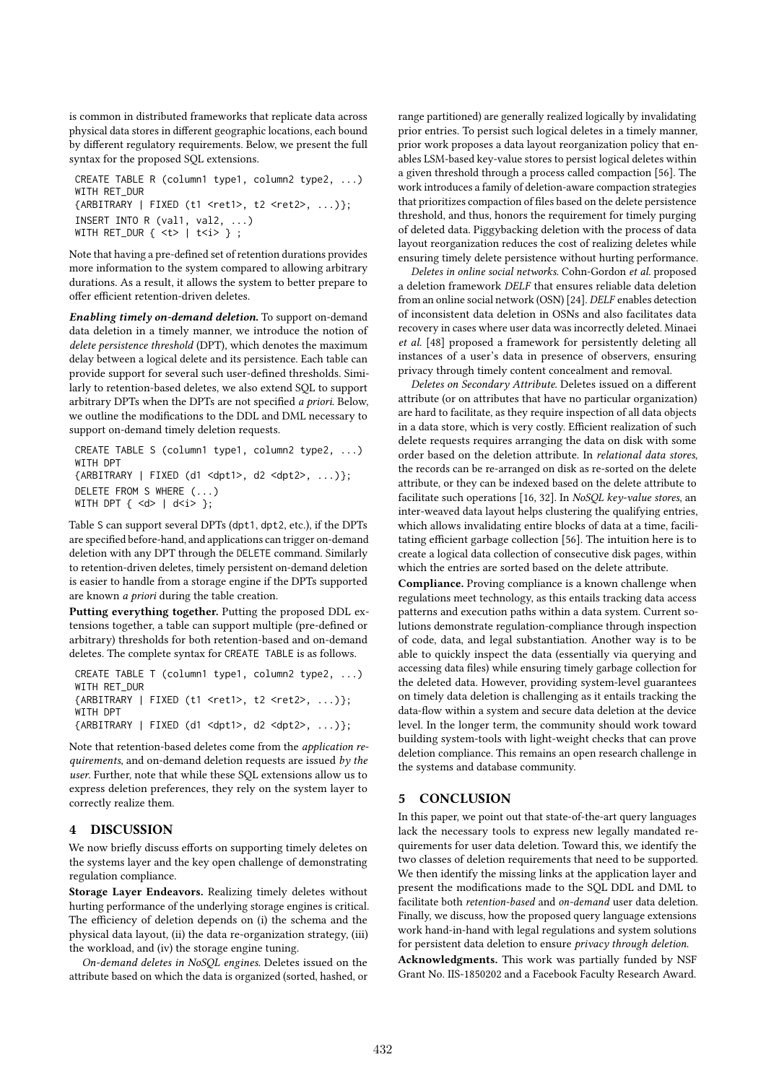is common in distributed frameworks that replicate data across physical data stores in different geographic locations, each bound by different regulatory requirements. Below, we present the full syntax for the proposed SQL extensions.

```
CREATE TABLE R (column1 type1, column2 type2, ...)
WITH RET_DUR
{ARBITRARY | FIXED (t1 <ret1>, t2 <ret2>, ...)};
INSERT INTO R (val1, val2, ...)
WITH RET_DUR \{ <t>1 \le i> \};
```
Note that having a pre-defined set of retention durations provides more information to the system compared to allowing arbitrary durations. As a result, it allows the system to better prepare to offer efficient retention-driven deletes.

Enabling timely on-demand deletion. To support on-demand data deletion in a timely manner, we introduce the notion of delete persistence threshold (DPT), which denotes the maximum delay between a logical delete and its persistence. Each table can provide support for several such user-defined thresholds. Similarly to retention-based deletes, we also extend SQL to support arbitrary DPTs when the DPTs are not specified a priori. Below, we outline the modifications to the DDL and DML necessary to support on-demand timely deletion requests.

CREATE TABLE S (column1 type1, column2 type2, ...) WITH DPT {ARBITRARY | FIXED (d1 <dpt1>, d2 <dpt2>, ...)}; DELETE FROM S WHERE (...) WITH DPT  $\{ \langle d \rangle \mid d \langle i \rangle \};$ 

Table S can support several DPTs (dpt1, dpt2, etc.), if the DPTs are specified before-hand, and applications can trigger on-demand deletion with any DPT through the DELETE command. Similarly to retention-driven deletes, timely persistent on-demand deletion is easier to handle from a storage engine if the DPTs supported are known a priori during the table creation.

Putting everything together. Putting the proposed DDL extensions together, a table can support multiple (pre-defined or arbitrary) thresholds for both retention-based and on-demand deletes. The complete syntax for CREATE TABLE is as follows.

```
CREATE TABLE T (column1 type1, column2 type2, ...)
WITH RFT DUR
{ARBITRARY | FIXED (t1 <ret1>, t2 <ret2>, ...)};
WITH DPT
{ARBITRARY | FIXED (d1 <dpt1>, d2 <dpt2>, ...)};
```
Note that retention-based deletes come from the application requirements, and on-demand deletion requests are issued by the user. Further, note that while these SQL extensions allow us to express deletion preferences, they rely on the system layer to correctly realize them.

#### 4 DISCUSSION

We now briefly discuss efforts on supporting timely deletes on the systems layer and the key open challenge of demonstrating regulation compliance.

Storage Layer Endeavors. Realizing timely deletes without hurting performance of the underlying storage engines is critical. The efficiency of deletion depends on (i) the schema and the physical data layout, (ii) the data re-organization strategy, (iii) the workload, and (iv) the storage engine tuning.

On-demand deletes in NoSQL engines. Deletes issued on the attribute based on which the data is organized (sorted, hashed, or

range partitioned) are generally realized logically by invalidating prior entries. To persist such logical deletes in a timely manner, prior work proposes a data layout reorganization policy that enables LSM-based key-value stores to persist logical deletes within a given threshold through a process called compaction [56]. The work introduces a family of deletion-aware compaction strategies that prioritizes compaction of files based on the delete persistence threshold, and thus, honors the requirement for timely purging of deleted data. Piggybacking deletion with the process of data layout reorganization reduces the cost of realizing deletes while ensuring timely delete persistence without hurting performance.

Deletes in online social networks. Cohn-Gordon et al. proposed a deletion framework DELF that ensures reliable data deletion from an online social network (OSN) [24]. DELF enables detection of inconsistent data deletion in OSNs and also facilitates data recovery in cases where user data was incorrectly deleted. Minaei et al. [48] proposed a framework for persistently deleting all instances of a user's data in presence of observers, ensuring privacy through timely content concealment and removal.

Deletes on Secondary Attribute. Deletes issued on a different attribute (or on attributes that have no particular organization) are hard to facilitate, as they require inspection of all data objects in a data store, which is very costly. Efficient realization of such delete requests requires arranging the data on disk with some order based on the deletion attribute. In relational data stores, the records can be re-arranged on disk as re-sorted on the delete attribute, or they can be indexed based on the delete attribute to facilitate such operations [16, 32]. In NoSQL key-value stores, an inter-weaved data layout helps clustering the qualifying entries, which allows invalidating entire blocks of data at a time, facilitating efficient garbage collection [56]. The intuition here is to create a logical data collection of consecutive disk pages, within which the entries are sorted based on the delete attribute.

Compliance. Proving compliance is a known challenge when regulations meet technology, as this entails tracking data access patterns and execution paths within a data system. Current solutions demonstrate regulation-compliance through inspection of code, data, and legal substantiation. Another way is to be able to quickly inspect the data (essentially via querying and accessing data files) while ensuring timely garbage collection for the deleted data. However, providing system-level guarantees on timely data deletion is challenging as it entails tracking the data-flow within a system and secure data deletion at the device level. In the longer term, the community should work toward building system-tools with light-weight checks that can prove deletion compliance. This remains an open research challenge in the systems and database community.

## 5 CONCLUSION

In this paper, we point out that state-of-the-art query languages lack the necessary tools to express new legally mandated requirements for user data deletion. Toward this, we identify the two classes of deletion requirements that need to be supported. We then identify the missing links at the application layer and present the modifications made to the SQL DDL and DML to facilitate both retention-based and on-demand user data deletion. Finally, we discuss, how the proposed query language extensions work hand-in-hand with legal regulations and system solutions for persistent data deletion to ensure privacy through deletion.

Acknowledgments. This work was partially funded by NSF Grant No. IIS-1850202 and a Facebook Faculty Research Award.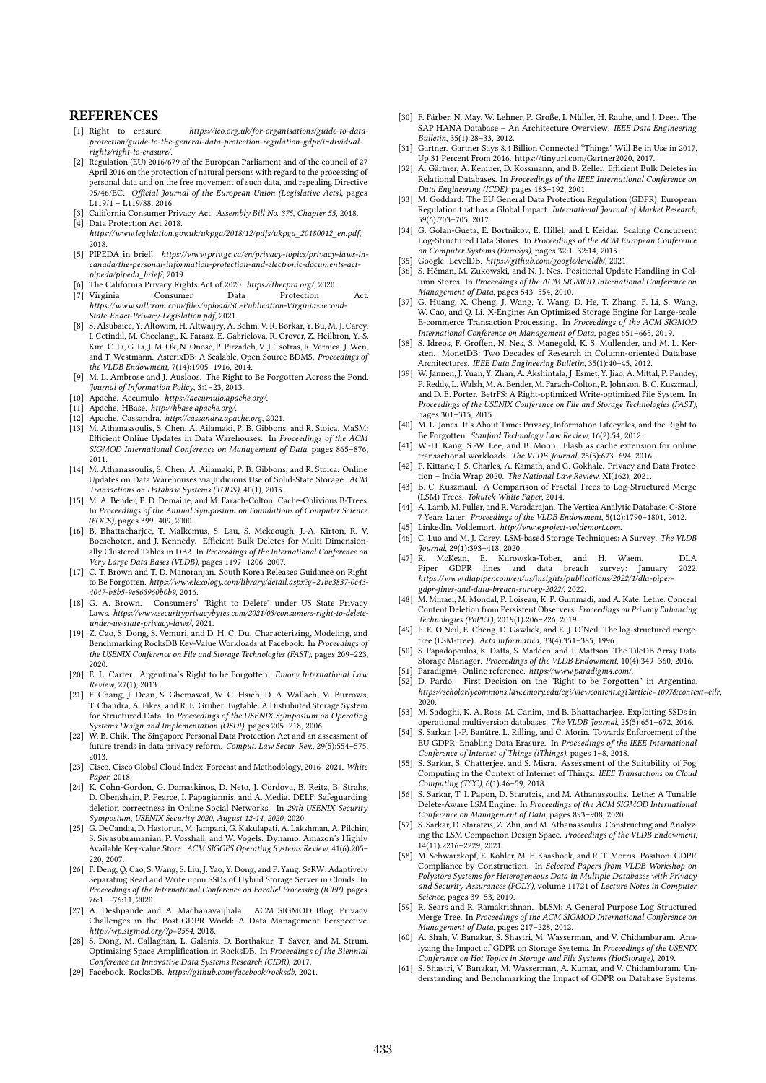#### **REFERENCES**

- [1] Right to erasure. https://ico.org.uk/for-organisations/guide-to-dataprotection/guide-to-the-general-data-protection-regulation-gdpr/individual-.<br>rights/right-to-erasure.
- [2] Regulation (EU) 2016/679 of the European Parliament and of the council of 27 April 2016 on the protection of natural persons with regard to the processing of personal data and on the free movement of such data, and repealing Directive 95/46/EC. Official Journal of the European Union (Legislative Acts), pages L119/1 – L119/88, 2016.
- [3] California Consumer Privacy Act. Assembly Bill No. 375, Chapter 55, 2018. [4] Data Protection Act 2018.
- https://www.legislation.gov.uk/ukpga/2018/12/pdfs/ukpga\_20180012\_en.pdf, 2018.
- [5] PIPEDA in brief. https://www.priv.gc.ca/en/privacy-topics/privacy-laws-in-canada/the-personal-information-protection-and-electronic-documents-actpipeda/pipeda\_brief/, 2019.
- [6] The California Privacy Rights Act of 2020. https://thecpra.org/, 2020.
- [7] Virginia Consumer Data Protection Act. https://www.sullcrom.com/files/upload/SC-Publication-Virginia-Second-State-Enact-Privacy-Legislation.pdf, 2021.
- [8] S. Alsubaiee, Y. Altowim, H. Altwaijry, A. Behm, V. R. Borkar, Y. Bu, M. J. Carey, I. Cetindil, M. Cheelangi, K. Faraaz, E. Gabrielova, R. Grover, Z. Heilbron, Y.-S. Kim, C. Li, G. Li, J. M. Ok, N. Onose, P. Pirzadeh, V. J. Tsotras, R. Vernica, J. Wen, and T. Westmann. AsterixDB: A Scalable, Open Source BDMS. Proceedings of the VLDB Endowment, 7(14):1905–1916, 2014.
- [9] M. L. Ambrose and J. Ausloos. The Right to Be Forgotten Across the Pond. Journal of Information Policy, 3:1–23, 2013.
- [10] Apache. Accumulo. https://accumulo.apache.org/.
- [11] Apache. HBase. http://hbase.apache.org/.
- [12] Apache. Cassandra. http://cassandra.apache.org, 2021.
- [13] M. Athanassoulis, S. Chen, A. Ailamaki, P. B. Gibbons, and R. Stoica. MaSM: Efficient Online Updates in Data Warehouses. In Proceedings of the ACM SIGMOD International Conference on Management of Data, pages 865–876, 2011.
- [14] M. Athanassoulis, S. Chen, A. Ailamaki, P. B. Gibbons, and R. Stoica. Online Updates on Data Warehouses via Judicious Use of Solid-State Storage. ACM Transactions on Database Systems (TODS), 40(1), 2015.
- [15] M. A. Bender, E. D. Demaine, and M. Farach-Colton. Cache-Oblivious B-Trees. In Proceedings of the Annual Symposium on Foundations of Computer Science (FOCS), pages 399–409, 2000.
- [16] B. Bhattacharjee, T. Malkemus, S. Lau, S. Mckeough, J.-A. Kirton, R. V. Boeschoten, and J. Kennedy. Efficient Bulk Deletes for Multi Dimensionally Clustered Tables in DB2. In Proceedings of the International Conference on Very Large Data Bases (VLDB), pages 1197–1206, 2007.
- [17] C. T. Brown and T. D. Manoranjan. South Korea Releases Guidance on Right to Be Forgotten. https://www.lexology.com/library/detail.aspx?g=21be3837-0c43- 4047-b8b5-9e863960b0b9, 2016.
- [18] G. A. Brown. Consumers' "Right to Delete" under US State Privacy Laws. https://www.securityprivacybytes.com/2021/03/consumers-right-to-deleteunder-us-state-privacy-laws/, 2021.
- [19] Z. Cao, S. Dong, S. Vemuri, and D. H. C. Du. Characterizing, Modeling, and Benchmarking RocksDB Key-Value Workloads at Facebook. In Proceedings of the USENIX Conference on File and Storage Technologies (FAST), pages 209–223, 2020.
- [20] E. L. Carter. Argentina's Right to be Forgotten. Emory International Law Review, 27(1), 2013.
- [21] F. Chang, J. Dean, S. Ghemawat, W. C. Hsieh, D. A. Wallach, M. Burrows, T. Chandra, A. Fikes, and R. E. Gruber. Bigtable: A Distributed Storage System for Structured Data. In Proceedings of the USENIX Symposium on Operating Systems Design and Implementation (OSDI), pages 205–218, 2006.
- [22] W. B. Chik. The Singapore Personal Data Protection Act and an assessment of future trends in data privacy reform. Comput. Law Secur. Rev., 29(5):554–575, 2013.
- [23] Cisco, Cisco Global Cloud Index: Forecast and Methodology, 2016–2021. White Paper, 2018.
- [24] K. Cohn-Gordon, G. Damaskinos, D. Neto, J. Cordova, B. Reitz, B. Strahs, D. Obenshain, P. Pearce, I. Papagiannis, and A. Media. DELF: Safeguarding deletion correctness in Online Social Networks. In 29th USENIX Security Symposium, USENIX Security 2020, August 12-14, 2020, 2020.
- [25] G. DeCandia, D. Hastorun, M. Jampani, G. Kakulapati, A. Lakshman, A. Pilchin, S. Sivasubramanian, P. Vosshall, and W. Vogels. Dynamo: Amazon's Highly Available Key-value Store. ACM SIGOPS Operating Systems Review, 41(6):205– 220, 2007.
- [26] F. Deng, Q. Cao, S. Wang, S. Liu, J. Yao, Y. Dong, and P. Yang. SeRW: Adaptively Separating Read and Write upon SSDs of Hybrid Storage Server in Clouds. In Proceedings of the International Conference on Parallel Processing (ICPP), pages 76:1—-76:11, 2020.
- [27] A. Deshpande and A. Machanavajjhala. ACM SIGMOD Blog: Privacy Challenges in the Post-GDPR World: A Data Management Perspective. http://wp.sigmod.org/?p=2554, 2018.
- [28] S. Dong, M. Callaghan, L. Galanis, D. Borthakur, T. Savor, and M. Strum. Optimizing Space Amplification in RocksDB. In Proceedings of the Biennial Conference on Innovative Data Systems Research (CIDR), 2017.
- [29] Facebook. RocksDB. https://github.com/facebook/rocksdb, 2021.
- [30] F. Färber, N. May, W. Lehner, P. Große, I. Müller, H. Rauhe, and J. Dees. The SAP HANA Database – An Architecture Overview. IEEE Data Engineering Bulletin, 35(1):28–33, 2012.
- [31] Gartner. Gartner Says 8.4 Billion Connected "Things" Will Be in Use in 2017, Up 31 Percent From 2016. https://tinyurl.com/Gartner2020, 2017.
- [32] A. Gärtner, A. Kemper, D. Kossmann, and B. Zeller. Efficient Bulk Deletes in Relational Databases. In Proceedings of the IEEE International Conference on Data Engineering (ICDE), pages 183–192, 2001.
- [33] M. Goddard. The EU General Data Protection Regulation (GDPR): European Regulation that has a Global Impact. International Journal of Market Research, 59(6):703–705, 2017.
- [34] G. Golan-Gueta, E. Bortnikov, E. Hillel, and I. Keidar. Scaling Concurrent Log-Structured Data Stores. In Proceedings of the ACM European Conference on Computer Systems (EuroSys), pages 32:1–32:14, 2015.
- 
- [35] Google. LevelDB. https://github.com/google/leveldb/, 2021. [36] S. Héman, M. Zukowski, and N. J. Nes. Positional Update Handling in Column Stores. In Proceedings of the ACM SIGMOD International Conference on Management of Data, pages 543–554, 2010.
- [37] G. Huang, X. Cheng, J. Wang, Y. Wang, D. He, T. Zhang, F. Li, S. Wang, W. Cao, and Q. Li. X-Engine: An Optimized Storage Engine for Large-scale E-commerce Transaction Processing. In Proceedings of the ACM SIGMOD International Conference on Management of Data, pages 651–665, 2019.
- [38] S. Idreos, F. Groffen, N. Nes, S. Manegold, K. S. Mullender, and M. L. Kersten. MonetDB: Two Decades of Research in Column-oriented Database Architectures. IEEE Data Engineering Bulletin, 35(1):40–45, 2012.
- [39] W. Jannen, J. Yuan, Y. Zhan, A. Akshintala, J. Esmet, Y. Jiao, A. Mittal, P. Pandey, P. Reddy, L. Walsh, M. A. Bender, M. Farach-Colton, R. Johnson, B. C. Kuszmaul, and D. E. Porter. BetrFS: A Right-optimized Write-optimized File System. In Proceedings of the USENIX Conference on File and Storage Technologies (FAST), pages 301–315, 2015.
- [40] M. L. Jones. It's About Time: Privacy, Information Lifecycles, and the Right to Be Forgotten. Stanford Technology Law Review, 16(2):54, 2012.
- [41] W.-H. Kang, S.-W. Lee, and B. Moon. Flash as cache extension for online transactional workloads. The VLDB Journal, 25(5):673–694, 2016. [42] P. Kittane, I. S. Charles, A. Kamath, and G. Gokhale. Privacy and Data Protec-
- tion India Wrap 2020. The National Law Review, XI(162), 2021.
- [43] B. C. Kuszmaul. A Comparison of Fractal Trees to Log-Structured Merge (LSM) Trees. Tokutek White Paper, 2014.
- [44] A. Lamb, M. Fuller, and R. Varadarajan. The Vertica Analytic Database: C-Store 7 Years Later. Proceedings of the VLDB Endowment, 5(12):1790–1801, 2012.
- [45] LinkedIn. Voldemort. http://www.project-voldemort.com.
- [46] C. Luo and M. J. Carey. LSM-based Storage Techniques: A Survey. The VLDB Journal, 29(1):393–418, 2020.
- [47] R. McKean, E. Kurowska-Tober, and H. Waem. DLA Piper GDPR fines and data breach survey: January 2022. https://www.dlapiper.com/en/us/insights/publications/2022/1/dla-pipergdpr-fines-and-data-breach-survey-2022/, 2022.
- [48] M. Minaei, M. Mondal, P. Loiseau, K. P. Gummadi, and A. Kate. Lethe: Conceal Content Deletion from Persistent Observers. Proceedings on Privacy Enhancing Technologies (PoPET), 2019(1):206–226, 2019.
- [49] P. E. O'Neil, E. Cheng, D. Gawlick, and E. J. O'Neil. The log-structured mergetree (LSM-tree). Acta Informatica, 33(4):351–385, 1996.
- [50] S. Papadopoulos, K. Datta, S. Madden, and T. Mattson. The TileDB Array Data Storage Manager. Proceedings of the VLDB Endowment, 10(4):349–360, 2016.
- [51] Paradigm4. Online reference. https://www.paradigm4.com/.<br>[52] D. Pardo. First Decision on the "Right to be Forgott
- D. Pardo. First Decision on the "Right to be Forgotten" in Argentina. https://scholarlycommons.law.emory.edu/cgi/viewcontent.cgi?article=1097&context=eilr, 2020.
- [53] M. Sadoghi, K. A. Ross, M. Canim, and B. Bhattacharjee. Exploiting SSDs in operational multiversion databases. The VLDB Journal, 25(5):651–672, 2016.
- S. Sarkar, J.-P. Banâtre, L. Rilling, and C. Morin. Towards Enforcement of the EU GDPR: Enabling Data Erasure. In Proceedings of the IEEE International Conference of Internet of Things (iThings), pages 1–8, 2018.
- [55] S. Sarkar, S. Chatterjee, and S. Misra. Assessment of the Suitability of Fog Computing in the Context of Internet of Things. IEEE Transactions on Cloud Computing (TCC), 6(1):46–59, 2018.
- [56] S. Sarkar, T. I. Papon, D. Staratzis, and M. Athanassoulis. Lethe: A Tunable Delete-Aware LSM Engine. In Proceedings of the ACM SIGMOD International Conference on Management of Data, pages 893–908, 2020.
- [57] S. Sarkar, D. Staratzis, Z. Zhu, and M. Athanassoulis. Constructing and Analyzing the LSM Compaction Design Space. Proceedings of the VLDB Endowment, 14(11):2216–2229, 2021.
- [58] M. Schwarzkopf, E. Kohler, M. F. Kaashoek, and R. T. Morris. Position: GDPR Compliance by Construction. In Selected Papers from VLDB Workshop on Polystore Systems for Heterogeneous Data in Multiple Databases with Privacy and Security Assurances (POLY), volume 11721 of Lecture Notes in Computer Science, pages 39–53, 2019.
- [59] R. Sears and R. Ramakrishnan. bLSM: A General Purpose Log Structured Merge Tree. In Proceedings of the ACM SIGMOD International Conference on Management of Data, pages 217–228, 2012.
- [60] A. Shah, V. Banakar, S. Shastri, M. Wasserman, and V. Chidambaram. Analyzing the Impact of GDPR on Storage Systems. In Proceedings of the USENIX Conference on Hot Topics in Storage and File Systems (HotStorage), 2019. [61] S. Shastri, V. Banakar, M. Wasserman, A. Kumar, and V. Chidambaram. Un-
- derstanding and Benchmarking the Impact of GDPR on Database Systems.